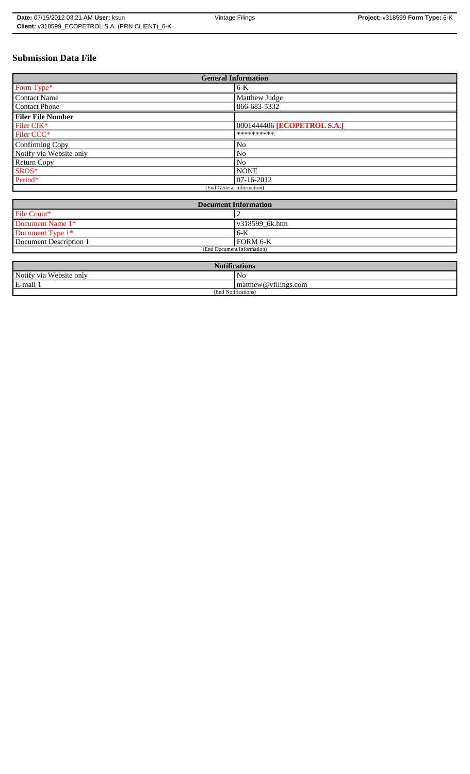# **Submission Data File**

| <b>General Information</b> |                             |
|----------------------------|-----------------------------|
| Form Type*                 | $6-K$                       |
| <b>Contact Name</b>        | Matthew Judge               |
| <b>Contact Phone</b>       | 866-683-5332                |
| <b>Filer File Number</b>   |                             |
| Filer CIK*                 | 0001444406 [ECOPETROL S.A.] |
| Filer CCC*                 | **********                  |
| Confirming Copy            | No                          |
| Notify via Website only    | No                          |
| Return Copy                | No.                         |
| $SROS*$                    | <b>NONE</b>                 |
| Period*                    | $ 07-16-2012 $              |
| (End General Information)  |                             |

| <b>Document Information</b> |                        |
|-----------------------------|------------------------|
| File Count*                 |                        |
| Document Name 1*            | $\sqrt{918599}$ 6k.htm |
| Document Type 1*            | <sup>1</sup> 6-K       |
| Document Description 1      | <b>FORM 6-K</b>        |
| (End Document Information)  |                        |

| <b>Notifications</b>         |                      |
|------------------------------|----------------------|
| Notify via<br>u Website only | No                   |
| E-mail 1                     | matthew@vfilings.com |
| (End Notifications)          |                      |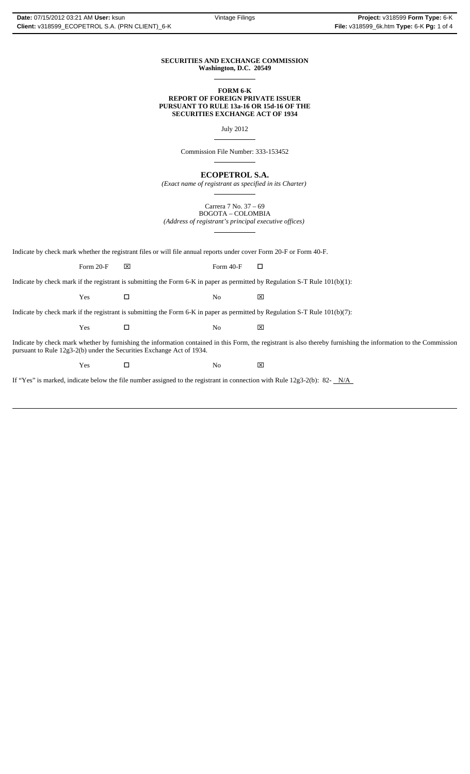### **SECURITIES AND EXCHANGE COMMISSION Washington, D.C. 20549**

 $\overline{a}$ 

 $\overline{a}$ 

 $\overline{a}$ 

 $\overline{a}$ 

#### **FORM 6-K REPORT OF FOREIGN PRIVATE ISSUER PURSUANT TO RULE 13a-16 OR 15d-16 OF THE SECURITIES EXCHANGE ACT OF 1934**

July 2012

Commission File Number: 333-153452

**ECOPETROL S.A.**

*(Exact name of registrant as specified in its Charter)*  $\overline{a}$ 

Carrera 7 No. 37 – 69 BOGOTA – COLOMBIA *(Address of registrant's principal executive offices)*

Indicate by check mark whether the registrant files or will file annual reports under cover Form 20-F or Form 40-F.

Form 20-F  $\boxtimes$  Form 40-F  $\Box$ 

Indicate by check mark if the registrant is submitting the Form 6-K in paper as permitted by Regulation S-T Rule 101(b)(1):

 $Yes$   $\Box$  No  $\boxtimes$ 

Indicate by check mark if the registrant is submitting the Form 6-K in paper as permitted by Regulation S-T Rule 101(b)(7):

 $Yes$   $\square$  No  $\boxtimes$ 

Indicate by check mark whether by furnishing the information contained in this Form, the registrant is also thereby furnishing the information to the Commission pursuant to Rule 12g3-2(b) under the Securities Exchange Act of 1934.

 $Yes$   $\square$  No  $\boxtimes$ 

If "Yes" is marked, indicate below the file number assigned to the registrant in connection with Rule 12g3-2(b): 82- $N/A$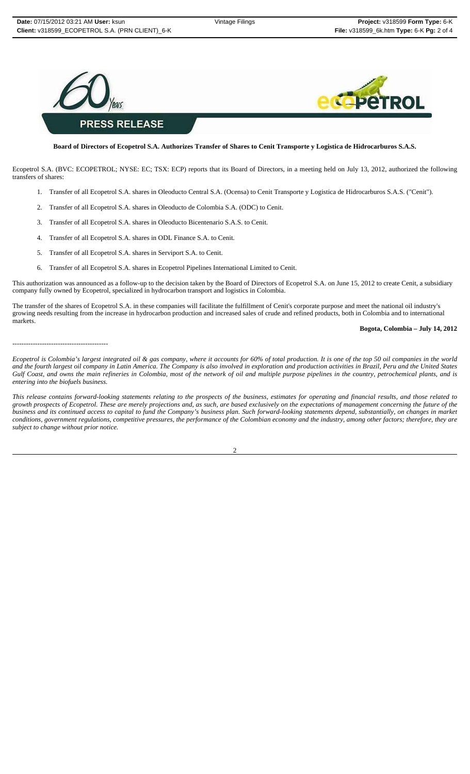

**Board of Directors of Ecopetrol S.A. Authorizes Transfer of Shares to Cenit Transporte y Logistica de Hidrocarburos S.A.S.**

Ecopetrol S.A. (BVC: ECOPETROL; NYSE: EC; TSX: ECP) reports that its Board of Directors, in a meeting held on July 13, 2012, authorized the following transfers of shares:

- 1. Transfer of all Ecopetrol S.A. shares in Oleoducto Central S.A. (Ocensa) to Cenit Transporte y Logistica de Hidrocarburos S.A.S. ("Cenit").
- 2. Transfer of all Ecopetrol S.A. shares in Oleoducto de Colombia S.A. (ODC) to Cenit.
- 3. Transfer of all Ecopetrol S.A. shares in Oleoducto Bicentenario S.A.S. to Cenit.
- 4. Transfer of all Ecopetrol S.A. shares in ODL Finance S.A. to Cenit.
- 5. Transfer of all Ecopetrol S.A. shares in Serviport S.A. to Cenit.
- 6. Transfer of all Ecopetrol S.A. shares in Ecopetrol Pipelines International Limited to Cenit.

This authorization was announced as a follow-up to the decision taken by the Board of Directors of Ecopetrol S.A. on June 15, 2012 to create Cenit, a subsidiary company fully owned by Ecopetrol, specialized in hydrocarbon transport and logistics in Colombia.

The transfer of the shares of Ecopetrol S.A. in these companies will facilitate the fulfillment of Cenit's corporate purpose and meet the national oil industry's growing needs resulting from the increase in hydrocarbon production and increased sales of crude and refined products, both in Colombia and to international markets.

#### **Bogota, Colombia – July 14, 2012**

------------------------------------------

*Ecopetrol is Colombia's largest integrated oil & gas company, where it accounts for 60% of total production. It is one of the top 50 oil companies in the world and the fourth largest oil company in Latin America. The Company is also involved in exploration and production activities in Brazil, Peru and the United States Gulf Coast, and owns the main refineries in Colombia, most of the network of oil and multiple purpose pipelines in the country, petrochemical plants, and is entering into the biofuels business.*

*This release contains forward-looking statements relating to the prospects of the business, estimates for operating and financial results, and those related to growth prospects of Ecopetrol. These are merely projections and, as such, are based exclusively on the expectations of management concerning the future of the business and its continued access to capital to fund the Company's business plan. Such forward-looking statements depend, substantially, on changes in market conditions, government regulations, competitive pressures, the performance of the Colombian economy and the industry, among other factors; therefore, they are subject to change without prior notice.*

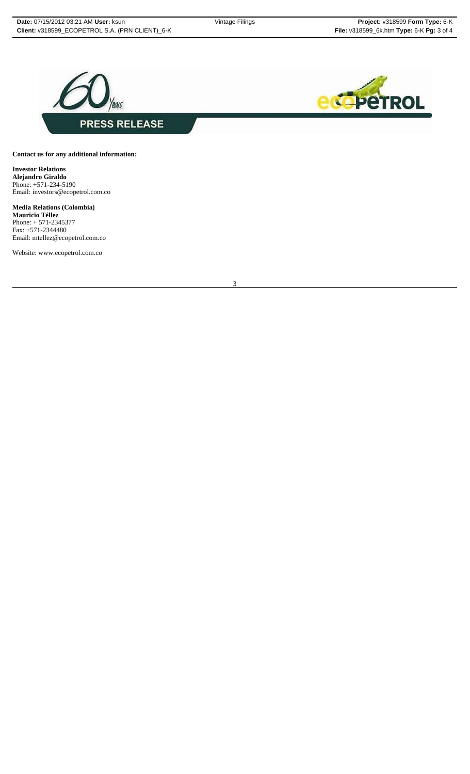



**Contact us for any additional information:**

**Investor Relations Alejandro Giraldo** Phone: +571-234-5190 Email: investors@ecopetrol.com.co

**Media Relations (Colombia) Mauricio Téllez** Phone: + 571-2345377 Fax: +571-2344480 Email: mtellez@ecopetrol.com.co

Website: www.ecopetrol.com.co